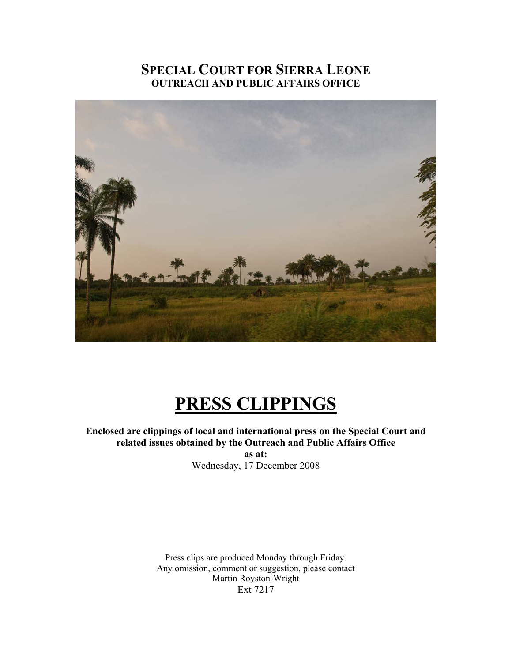## **SPECIAL COURT FOR SIERRA LEONE OUTREACH AND PUBLIC AFFAIRS OFFICE**



# **PRESS CLIPPINGS**

### **Enclosed are clippings of local and international press on the Special Court and related issues obtained by the Outreach and Public Affairs Office**

**as at:**  Wednesday, 17 December 2008

Press clips are produced Monday through Friday. Any omission, comment or suggestion, please contact Martin Royston-Wright Ext 7217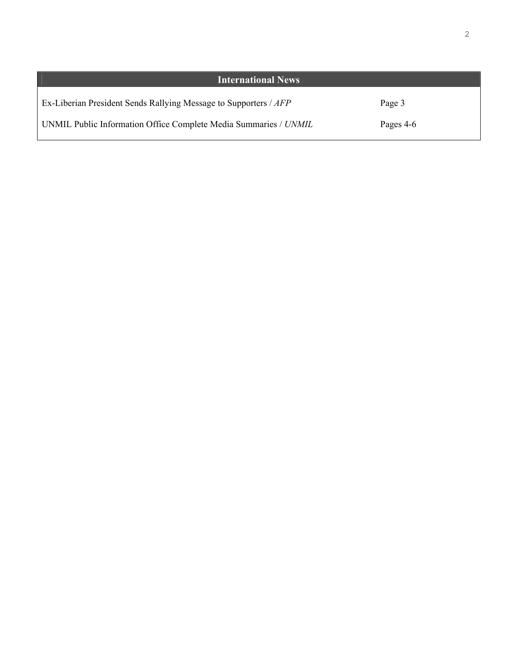| <b>International News</b>                                        |           |
|------------------------------------------------------------------|-----------|
| Ex-Liberian President Sends Rallying Message to Supporters / AFP | Page 3    |
| UNMIL Public Information Office Complete Media Summaries / UNMIL | Pages 4-6 |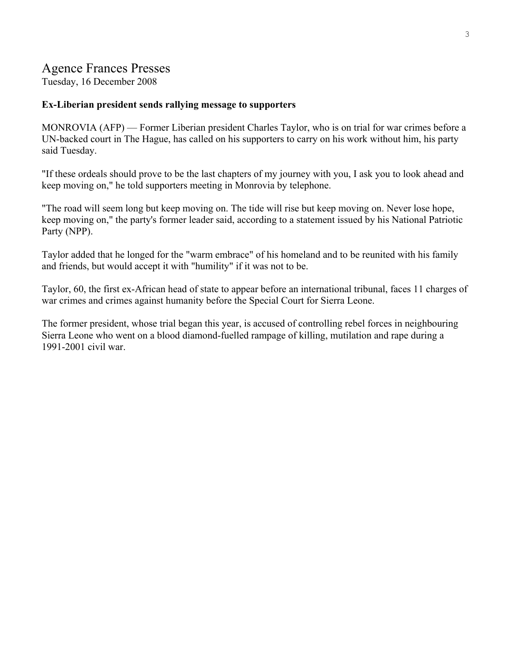### Agence Frances Presses

Tuesday, 16 December 2008

### **Ex-Liberian president sends rallying message to supporters**

MONROVIA (AFP) — Former Liberian president Charles Taylor, who is on trial for war crimes before a UN-backed court in The Hague, has called on his supporters to carry on his work without him, his party said Tuesday.

"If these ordeals should prove to be the last chapters of my journey with you, I ask you to look ahead and keep moving on," he told supporters meeting in Monrovia by telephone.

"The road will seem long but keep moving on. The tide will rise but keep moving on. Never lose hope, keep moving on," the party's former leader said, according to a statement issued by his National Patriotic Party (NPP).

Taylor added that he longed for the "warm embrace" of his homeland and to be reunited with his family and friends, but would accept it with "humility" if it was not to be.

Taylor, 60, the first ex-African head of state to appear before an international tribunal, faces 11 charges of war crimes and crimes against humanity before the Special Court for Sierra Leone.

The former president, whose trial began this year, is accused of controlling rebel forces in neighbouring Sierra Leone who went on a blood diamond-fuelled rampage of killing, mutilation and rape during a 1991-2001 civil war.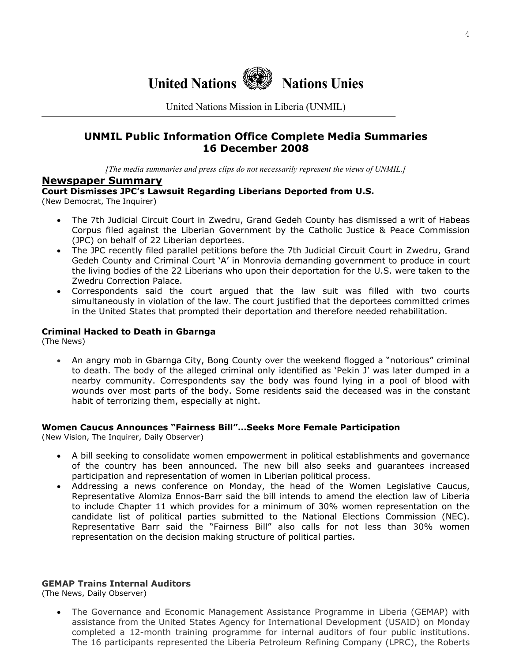

United Nations Mission in Liberia (UNMIL)

### **UNMIL Public Information Office Complete Media Summaries 16 December 2008**

*[The media summaries and press clips do not necessarily represent the views of UNMIL.]*

### **Newspaper Summary**

**Court Dismisses JPC's Lawsuit Regarding Liberians Deported from U.S.**

- (New Democrat, The Inquirer)
	- The 7th Judicial Circuit Court in Zwedru, Grand Gedeh County has dismissed a writ of Habeas Corpus filed against the Liberian Government by the Catholic Justice & Peace Commission (JPC) on behalf of 22 Liberian deportees.
	- The JPC recently filed parallel petitions before the 7th Judicial Circuit Court in Zwedru, Grand Gedeh County and Criminal Court 'A' in Monrovia demanding government to produce in court the living bodies of the 22 Liberians who upon their deportation for the U.S. were taken to the Zwedru Correction Palace.
	- Correspondents said the court argued that the law suit was filled with two courts simultaneously in violation of the law. The court justified that the deportees committed crimes in the United States that prompted their deportation and therefore needed rehabilitation.

### **Criminal Hacked to Death in Gbarnga**

(The News)

• An angry mob in Gbarnga City, Bong County over the weekend flogged a "notorious" criminal to death. The body of the alleged criminal only identified as 'Pekin J' was later dumped in a nearby community. Correspondents say the body was found lying in a pool of blood with wounds over most parts of the body. Some residents said the deceased was in the constant habit of terrorizing them, especially at night.

### **Women Caucus Announces "Fairness Bill"…Seeks More Female Participation**

(New Vision, The Inquirer, Daily Observer)

- A bill seeking to consolidate women empowerment in political establishments and governance of the country has been announced. The new bill also seeks and guarantees increased participation and representation of women in Liberian political process.
- Addressing a news conference on Monday, the head of the Women Legislative Caucus, Representative Alomiza Ennos-Barr said the bill intends to amend the election law of Liberia to include Chapter 11 which provides for a minimum of 30% women representation on the candidate list of political parties submitted to the National Elections Commission (NEC). Representative Barr said the "Fairness Bill" also calls for not less than 30% women representation on the decision making structure of political parties.

### **GEMAP Trains Internal Auditors**

(The News, Daily Observer)

• The Governance and Economic Management Assistance Programme in Liberia (GEMAP) with assistance from the United States Agency for International Development (USAID) on Monday completed a 12-month training programme for internal auditors of four public institutions. The 16 participants represented the Liberia Petroleum Refining Company (LPRC), the Roberts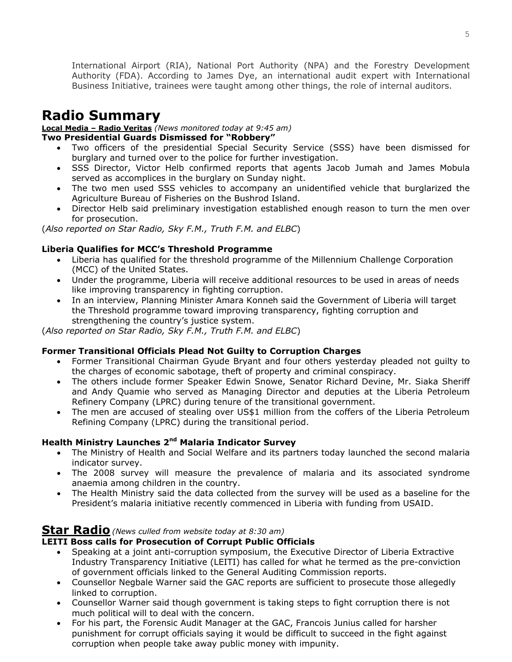International Airport (RIA), National Port Authority (NPA) and the Forestry Development Authority (FDA). According to James Dye, an international audit expert with International Business Initiative, trainees were taught among other things, the role of internal auditors.

# **Radio Summary**

### **Local Media – Radio Veritas** *(News monitored today at 9:45 am)*

### **Two Presidential Guards Dismissed for "Robbery"**

- Two officers of the presidential Special Security Service (SSS) have been dismissed for burglary and turned over to the police for further investigation.
- SSS Director, Victor Helb confirmed reports that agents Jacob Jumah and James Mobula served as accomplices in the burglary on Sunday night.
- The two men used SSS vehicles to accompany an unidentified vehicle that burglarized the Agriculture Bureau of Fisheries on the Bushrod Island.
- Director Helb said preliminary investigation established enough reason to turn the men over for prosecution.

(*Also reported on Star Radio, Sky F.M., Truth F.M. and ELBC*)

### **Liberia Qualifies for MCC's Threshold Programme**

- Liberia has qualified for the threshold programme of the Millennium Challenge Corporation (MCC) of the United States.
- Under the programme, Liberia will receive additional resources to be used in areas of needs like improving transparency in fighting corruption.
- In an interview, Planning Minister Amara Konneh said the Government of Liberia will target the Threshold programme toward improving transparency, fighting corruption and strengthening the country's justice system.

(*Also reported on Star Radio, Sky F.M., Truth F.M. and ELBC*)

### **Former Transitional Officials Plead Not Guilty to Corruption Charges**

- Former Transitional Chairman Gyude Bryant and four others yesterday pleaded not guilty to the charges of economic sabotage, theft of property and criminal conspiracy.
- The others include former Speaker Edwin Snowe, Senator Richard Devine, Mr. Siaka Sheriff and Andy Quamie who served as Managing Director and deputies at the Liberia Petroleum Refinery Company (LPRC) during tenure of the transitional government.
- The men are accused of stealing over US\$1 million from the coffers of the Liberia Petroleum Refining Company (LPRC) during the transitional period.

### **Health Ministry Launches 2nd Malaria Indicator Survey**

- The Ministry of Health and Social Welfare and its partners today launched the second malaria indicator survey.
- The 2008 survey will measure the prevalence of malaria and its associated syndrome anaemia among children in the country.
- The Health Ministry said the data collected from the survey will be used as a baseline for the President's malaria initiative recently commenced in Liberia with funding from USAID.

### **Star Radio***(News culled from website today at 8:30 am)*

### **LEITI Boss calls for Prosecution of Corrupt Public Officials**

- Speaking at a joint anti-corruption symposium, the Executive Director of Liberia Extractive Industry Transparency Initiative (LEITI) has called for what he termed as the pre-conviction of government officials linked to the General Auditing Commission reports.
- Counsellor Negbale Warner said the GAC reports are sufficient to prosecute those allegedly linked to corruption.
- Counsellor Warner said though government is taking steps to fight corruption there is not much political will to deal with the concern.
- For his part, the Forensic Audit Manager at the GAC, Francois Junius called for harsher punishment for corrupt officials saying it would be difficult to succeed in the fight against corruption when people take away public money with impunity.